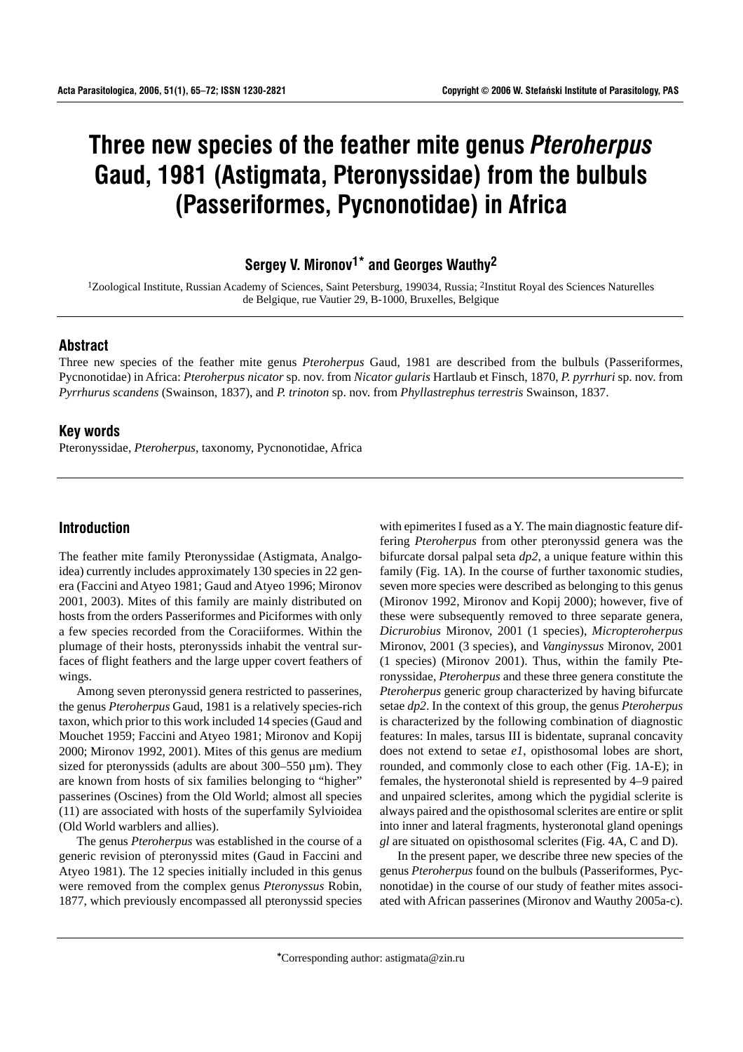# **Three new species of the feather mite genus** *Pteroherpus* **Gaud, 1981 (Astigmata, Pteronyssidae) from the bulbuls (Passeriformes, Pycnonotidae) in Africa**

**Sergey V. Mironov1\* and Georges Wauthy2**

1Zoological Institute, Russian Academy of Sciences, Saint Petersburg, 199034, Russia; 2Institut Royal des Sciences Naturelles de Belgique, rue Vautier 29, B-1000, Bruxelles, Belgique

#### **Abstract**

Three new species of the feather mite genus *Pteroherpus* Gaud, 1981 are described from the bulbuls (Passeriformes, Pycnonotidae) in Africa: *Pteroherpus nicator* sp. nov. from *Nicator gularis* Hartlaub et Finsch, 1870, *P. pyrrhuri* sp. nov. from *Pyrrhurus scandens* (Swainson, 1837), and *P. trinoton* sp. nov. from *Phyllastrephus terrestris* Swainson, 1837.

## **Key words**

Pteronyssidae, *Pteroherpus*, taxonomy, Pycnonotidae, Africa

# **Introduction**

The feather mite family Pteronyssidae (Astigmata, Analgoidea) currently includes approximately 130 species in 22 genera (Faccini and Atyeo 1981; Gaud and Atyeo 1996; Mironov 2001, 2003). Mites of this family are mainly distributed on hosts from the orders Passeriformes and Piciformes with only a few species recorded from the Coraciiformes. Within the plumage of their hosts, pteronyssids inhabit the ventral surfaces of flight feathers and the large upper covert feathers of wings.

Among seven pteronyssid genera restricted to passerines, the genus *Pteroherpus* Gaud, 1981 is a relatively species-rich taxon, which prior to this work included 14 species (Gaud and Mouchet 1959; Faccini and Atyeo 1981; Mironov and Kopij 2000; Mironov 1992, 2001). Mites of this genus are medium sized for pteronyssids (adults are about 300–550 µm). They are known from hosts of six families belonging to "higher" passerines (Oscines) from the Old World; almost all species (11) are associated with hosts of the superfamily Sylvioidea (Old World warblers and allies).

The genus *Pteroherpus* was established in the course of a generic revision of pteronyssid mites (Gaud in Faccini and Atyeo 1981). The 12 species initially included in this genus were removed from the complex genus *Pteronyssus* Robin, 1877, which previously encompassed all pteronyssid species

with epimerites I fused as a Y. The main diagnostic feature differing *Pteroherpus* from other pteronyssid genera was the bifurcate dorsal palpal seta *dp2*, a unique feature within this family (Fig. 1A). In the course of further taxonomic studies, seven more species were described as belonging to this genus (Mironov 1992, Mironov and Kopij 2000); however, five of these were subsequently removed to three separate genera, *Dicrurobius* Mironov, 2001 (1 species), *Micropteroherpus* Mironov, 2001 (3 species), and *Vanginyssus* Mironov, 2001 (1 species) (Mironov 2001). Thus, within the family Pteronyssidae, *Pteroherpus* and these three genera constitute the *Pteroherpus* generic group characterized by having bifurcate setae *dp2*. In the context of this group, the genus *Pteroherpus* is characterized by the following combination of diagnostic features: In males, tarsus III is bidentate, supranal concavity does not extend to setae *e1*, opisthosomal lobes are short, rounded, and commonly close to each other (Fig. 1A-E); in females, the hysteronotal shield is represented by 4–9 paired and unpaired sclerites, among which the pygidial sclerite is always paired and the opisthosomal sclerites are entire or split into inner and lateral fragments, hysteronotal gland openings *gl* are situated on opisthosomal sclerites (Fig. 4A, C and D).

In the present paper, we describe three new species of the genus *Pteroherpus* found on the bulbuls (Passeriformes, Pycnonotidae) in the course of our study of feather mites associated with African passerines (Mironov and Wauthy 2005a-c).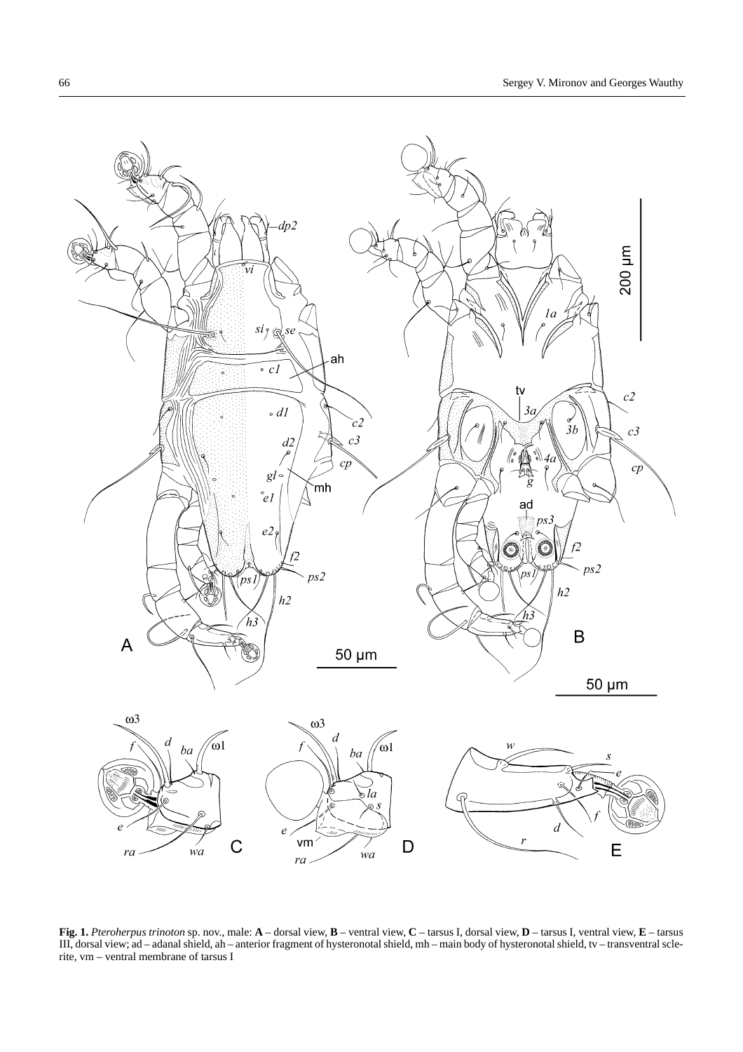

**Fig. 1.** *Pteroherpus trinoton* sp. nov., male: **A** – dorsal view, **B** – ventral view, **C** – tarsus I, dorsal view, **D** – tarsus I, ventral view, **E** – tarsus III, dorsal view; ad – adanal shield, ah – anterior fragment of hysteronotal shield, mh – main body of hysteronotal shield, tv – transventral sclerite, vm – ventral membrane of tarsus I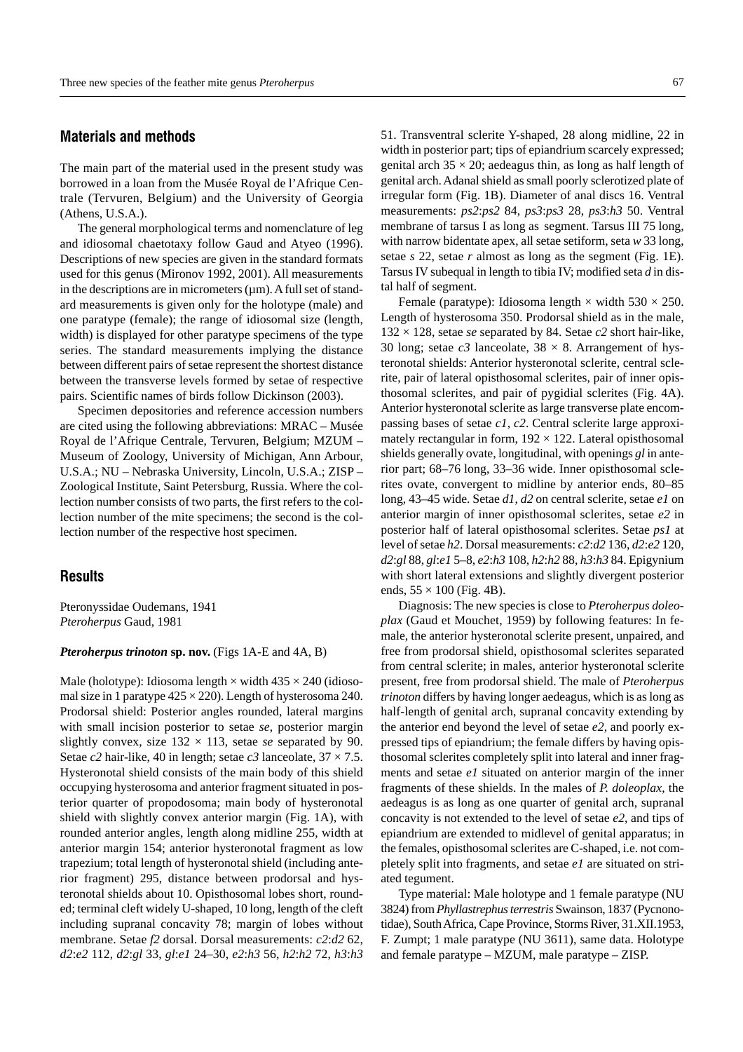# **Materials and methods**

The main part of the material used in the present study was borrowed in a loan from the Musée Royal de l'Afrique Centrale (Tervuren, Belgium) and the University of Georgia (Athens, U.S.A.).

The general morphological terms and nomenclature of leg and idiosomal chaetotaxy follow Gaud and Atyeo (1996). Descriptions of new species are given in the standard formats used for this genus (Mironov 1992, 2001). All measurements in the descriptions are in micrometers  $(\mu m)$ . A full set of standard measurements is given only for the holotype (male) and one paratype (female); the range of idiosomal size (length, width) is displayed for other paratype specimens of the type series. The standard measurements implying the distance between different pairs of setae represent the shortest distance between the transverse levels formed by setae of respective pairs. Scientific names of birds follow Dickinson (2003).

Specimen depositories and reference accession numbers are cited using the following abbreviations: MRAC – Musée Royal de l'Afrique Centrale, Tervuren, Belgium; MZUM – Museum of Zoology, University of Michigan, Ann Arbour, U.S.A.; NU – Nebraska University, Lincoln, U.S.A.; ZISP – Zoological Institute, Saint Petersburg, Russia. Where the collection number consists of two parts, the first refers to the collection number of the mite specimens; the second is the collection number of the respective host specimen.

# **Results**

Pteronyssidae Oudemans, 1941 *Pteroherpus* Gaud, 1981

#### *Pteroherpus trinoton* **sp. nov.** (Figs 1A-E and 4A, B)

Male (holotype): Idiosoma length  $\times$  width 435  $\times$  240 (idiosomal size in 1 paratype  $425 \times 220$ ). Length of hysterosoma 240. Prodorsal shield: Posterior angles rounded, lateral margins with small incision posterior to setae *se*, posterior margin slightly convex, size  $132 \times 113$ , setae *se* separated by 90. Setae *c*2 hair-like, 40 in length; setae *c3* lanceolate,  $37 \times 7.5$ . Hysteronotal shield consists of the main body of this shield occupying hysterosoma and anterior fragment situated in posterior quarter of propodosoma; main body of hysteronotal shield with slightly convex anterior margin (Fig. 1A), with rounded anterior angles, length along midline 255, width at anterior margin 154; anterior hysteronotal fragment as low trapezium; total length of hysteronotal shield (including anterior fragment) 295, distance between prodorsal and hysteronotal shields about 10. Opisthosomal lobes short, rounded; terminal cleft widely U-shaped, 10 long, length of the cleft including supranal concavity 78; margin of lobes without membrane. Setae *f2* dorsal. Dorsal measurements: *c2*:*d2* 62, *d2*:*e2* 112, *d2*:*gl* 33, *gl*:*e1* 24–30, *e2*:*h3* 56, *h2*:*h2* 72, *h3*:*h3* 51. Transventral sclerite Y-shaped, 28 along midline, 22 in width in posterior part; tips of epiandrium scarcely expressed; genital arch  $35 \times 20$ ; aedeagus thin, as long as half length of genital arch. Adanal shield as small poorly sclerotized plate of irregular form (Fig. 1B). Diameter of anal discs 16. Ventral measurements: *ps2*:*ps2* 84, *ps3*:*ps3* 28, *ps3*:*h3* 50. Ventral membrane of tarsus I as long as segment. Tarsus III 75 long, with narrow bidentate apex, all setae setiform, seta *w* 33 long, setae *s* 22, setae *r* almost as long as the segment (Fig. 1E). Tarsus IV subequal in length to tibia IV; modified seta *d* in distal half of segment.

Female (paratype): Idiosoma length  $\times$  width 530  $\times$  250. Length of hysterosoma 350. Prodorsal shield as in the male,  $132 \times 128$ , setae *se* separated by 84. Setae *c*2 short hair-like, 30 long; setae  $c3$  lanceolate,  $38 \times 8$ . Arrangement of hysteronotal shields: Anterior hysteronotal sclerite, central sclerite, pair of lateral opisthosomal sclerites, pair of inner opisthosomal sclerites, and pair of pygidial sclerites (Fig. 4A). Anterior hysteronotal sclerite as large transverse plate encompassing bases of setae *c1*, *c2*. Central sclerite large approximately rectangular in form,  $192 \times 122$ . Lateral opisthosomal shields generally ovate, longitudinal, with openings *gl* in anterior part; 68–76 long, 33–36 wide. Inner opisthosomal sclerites ovate, convergent to midline by anterior ends, 80–85 long, 43–45 wide. Setae *d1*, *d2* on central sclerite, setae *e1* on anterior margin of inner opisthosomal sclerites, setae *e2* in posterior half of lateral opisthosomal sclerites. Setae *ps1* at level of setae *h2*. Dorsal measurements: *c2*:*d2* 136, *d2*:*e2* 120, *d2*:*gl* 88, *gl*:*e1* 5–8, *e2*:*h3* 108, *h2*:*h2* 88, *h3*:*h3* 84. Epigynium with short lateral extensions and slightly divergent posterior ends,  $55 \times 100$  (Fig. 4B).

Diagnosis: The new species is close to *Pteroherpus doleoplax* (Gaud et Mouchet, 1959) by following features: In female, the anterior hysteronotal sclerite present, unpaired, and free from prodorsal shield, opisthosomal sclerites separated from central sclerite; in males, anterior hysteronotal sclerite present, free from prodorsal shield. The male of *Pteroherpus trinoton* differs by having longer aedeagus, which is as long as half-length of genital arch, supranal concavity extending by the anterior end beyond the level of setae *e2*, and poorly expressed tips of epiandrium; the female differs by having opisthosomal sclerites completely split into lateral and inner fragments and setae *e1* situated on anterior margin of the inner fragments of these shields. In the males of *P. doleoplax*, the aedeagus is as long as one quarter of genital arch, supranal concavity is not extended to the level of setae *e2*, and tips of epiandrium are extended to midlevel of genital apparatus; in the females, opisthosomal sclerites are C-shaped, i.e. not completely split into fragments, and setae *e1* are situated on striated tegument.

Type material: Male holotype and 1 female paratype (NU 3824) from *Phyllastrephus terrestris* Swainson, 1837 (Pycnonotidae), South Africa, Cape Province, Storms River, 31.XII.1953, F. Zumpt; 1 male paratype (NU 3611), same data. Holotype and female paratype – MZUM, male paratype – ZISP.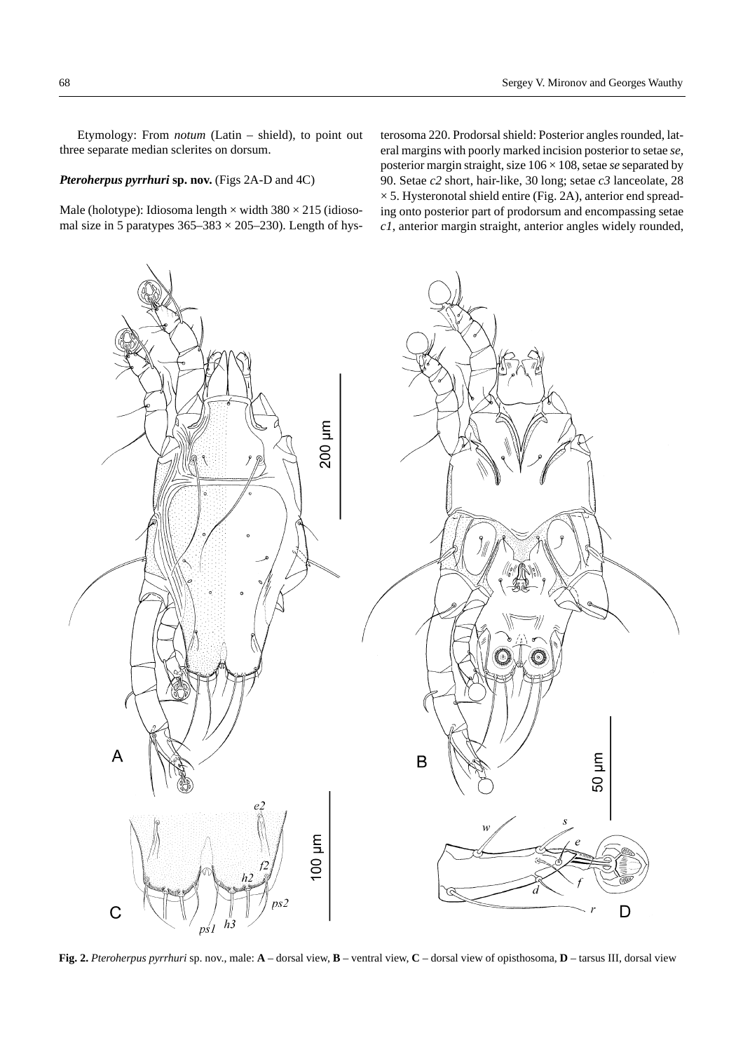Etymology: From *notum* (Latin – shield), to point out three separate median sclerites on dorsum.

### *Pteroherpus pyrrhuri* **sp. nov.** (Figs 2A-D and 4C)

Male (holotype): Idiosoma length  $\times$  width 380  $\times$  215 (idiosomal size in 5 paratypes  $365-383 \times 205-230$ ). Length of hysterosoma 220. Prodorsal shield: Posterior angles rounded, lateral margins with poorly marked incision posterior to setae *se*, posterior margin straight, size 106 × 108, setae *se* separated by 90. Setae *c2* short, hair-like, 30 long; setae *c3* lanceolate, 28  $\times$  5. Hysteronotal shield entire (Fig. 2A), anterior end spreading onto posterior part of prodorsum and encompassing setae *c1*, anterior margin straight, anterior angles widely rounded,



**Fig. 2.** *Pteroherpus pyrrhuri* sp. nov., male: **A** – dorsal view, **B** – ventral view, **C** – dorsal view of opisthosoma, **D** – tarsus III, dorsal view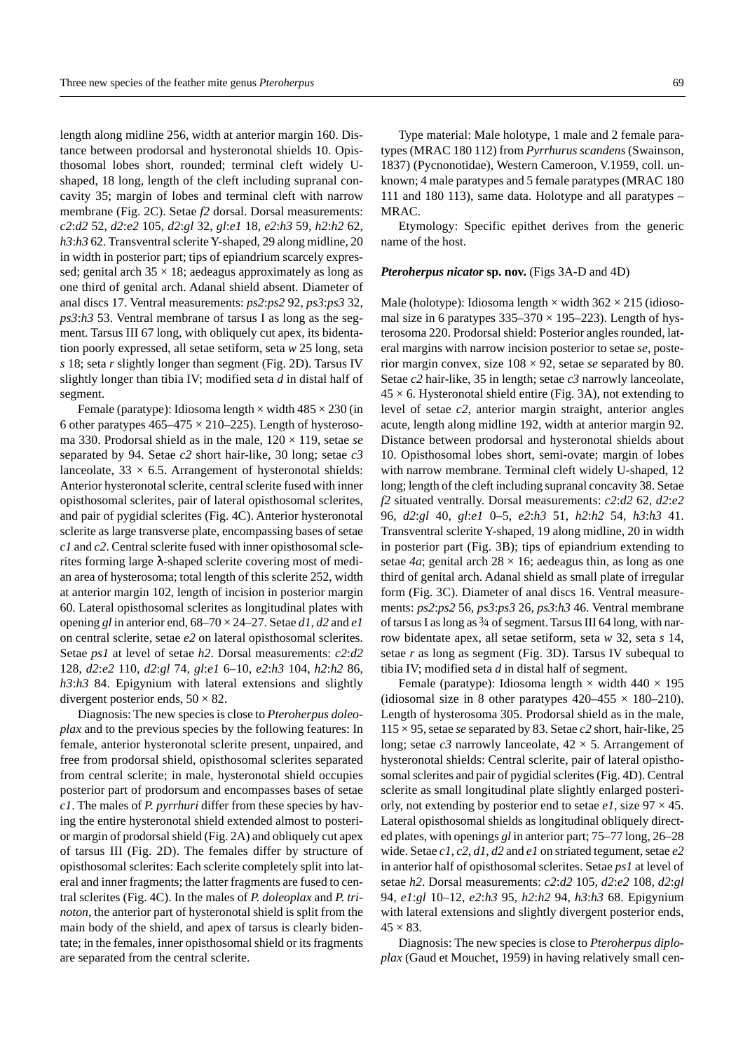length along midline 256, width at anterior margin 160. Distance between prodorsal and hysteronotal shields 10. Opisthosomal lobes short, rounded; terminal cleft widely Ushaped, 18 long, length of the cleft including supranal concavity 35; margin of lobes and terminal cleft with narrow membrane (Fig. 2C). Setae *f2* dorsal. Dorsal measurements: *c2*:*d2* 52, *d2*:*e2* 105, *d2*:*gl* 32, *gl*:*e1* 18, *e2*:*h3* 59, *h2*:*h2* 62, *h3*:*h3* 62. Transventral sclerite Y-shaped, 29 along midline, 20 in width in posterior part; tips of epiandrium scarcely expressed; genital arch  $35 \times 18$ ; aedeagus approximately as long as one third of genital arch. Adanal shield absent. Diameter of anal discs 17. Ventral measurements: *ps2*:*ps2* 92, *ps3*:*ps3* 32, *ps3*:*h3* 53. Ventral membrane of tarsus I as long as the segment. Tarsus III 67 long, with obliquely cut apex, its bidentation poorly expressed, all setae setiform, seta *w* 25 long, seta *s* 18; seta *r* slightly longer than segment (Fig. 2D). Tarsus IV slightly longer than tibia IV; modified seta *d* in distal half of segment.

Female (paratype): Idiosoma length  $\times$  width 485  $\times$  230 (in 6 other paratypes  $465-475 \times 210-225$ ). Length of hysterosoma 330. Prodorsal shield as in the male, 120 × 119, setae *se* separated by 94. Setae *c2* short hair-like, 30 long; setae *c3* lanceolate,  $33 \times 6.5$ . Arrangement of hysteronotal shields: Anterior hysteronotal sclerite, central sclerite fused with inner opisthosomal sclerites, pair of lateral opisthosomal sclerites, and pair of pygidial sclerites (Fig. 4C). Anterior hysteronotal sclerite as large transverse plate, encompassing bases of setae *c1* and *c2*. Central sclerite fused with inner opisthosomal sclerites forming large λ-shaped sclerite covering most of median area of hysterosoma; total length of this sclerite 252, width at anterior margin 102, length of incision in posterior margin 60. Lateral opisthosomal sclerites as longitudinal plates with opening *gl* in anterior end, 68–70 × 24–27. Setae *d1*, *d2* and *e1* on central sclerite, setae *e2* on lateral opisthosomal sclerites. Setae *ps1* at level of setae *h2*. Dorsal measurements: *c2*:*d2* 128, *d2*:*e2* 110, *d2*:*gl* 74, *gl*:*e1* 6–10, *e2*:*h3* 104, *h2*:*h2* 86, *h3*:*h3* 84. Epigynium with lateral extensions and slightly divergent posterior ends,  $50 \times 82$ .

Diagnosis: The new species is close to *Pteroherpus doleoplax* and to the previous species by the following features: In female, anterior hysteronotal sclerite present, unpaired, and free from prodorsal shield, opisthosomal sclerites separated from central sclerite; in male, hysteronotal shield occupies posterior part of prodorsum and encompasses bases of setae *c1*. The males of *P. pyrrhuri* differ from these species by having the entire hysteronotal shield extended almost to posterior margin of prodorsal shield (Fig. 2A) and obliquely cut apex of tarsus III (Fig. 2D). The females differ by structure of opisthosomal sclerites: Each sclerite completely split into lateral and inner fragments; the latter fragments are fused to central sclerites (Fig. 4C). In the males of *P. doleoplax* and *P. trinoton*, the anterior part of hysteronotal shield is split from the main body of the shield, and apex of tarsus is clearly bidentate; in the females, inner opisthosomal shield or its fragments are separated from the central sclerite.

69

Type material: Male holotype, 1 male and 2 female paratypes (MRAC 180 112) from *Pyrrhurus scandens* (Swainson, 1837) (Pycnonotidae), Western Cameroon, V.1959, coll. unknown; 4 male paratypes and 5 female paratypes (MRAC 180 111 and 180 113), same data. Holotype and all paratypes – MRAC.

Etymology: Specific epithet derives from the generic name of the host.

#### *Pteroherpus nicator* **sp. nov.** (Figs 3A-D and 4D)

Male (holotype): Idiosoma length  $\times$  width 362  $\times$  215 (idiosomal size in 6 paratypes  $335-370 \times 195-223$ ). Length of hysterosoma 220. Prodorsal shield: Posterior angles rounded, lateral margins with narrow incision posterior to setae *se*, posterior margin convex, size 108 × 92, setae *se* separated by 80. Setae *c2* hair-like, 35 in length; setae *c3* narrowly lanceolate,  $45 \times 6$ . Hysteronotal shield entire (Fig. 3A), not extending to level of setae *c2*, anterior margin straight, anterior angles acute, length along midline 192, width at anterior margin 92. Distance between prodorsal and hysteronotal shields about 10. Opisthosomal lobes short, semi-ovate; margin of lobes with narrow membrane. Terminal cleft widely U-shaped, 12 long; length of the cleft including supranal concavity 38. Setae *f2* situated ventrally. Dorsal measurements: *c2*:*d2* 62, *d2*:*e2* 96, *d2*:*gl* 40, *gl*:*e1* 0–5, *e2*:*h3* 51, *h2*:*h2* 54, *h3*:*h3* 41. Transventral sclerite Y-shaped, 19 along midline, 20 in width in posterior part (Fig. 3B); tips of epiandrium extending to setae  $4a$ ; genital arch  $28 \times 16$ ; aedeagus thin, as long as one third of genital arch. Adanal shield as small plate of irregular form (Fig. 3C). Diameter of anal discs 16. Ventral measurements: *ps2*:*ps2* 56, *ps3*:*ps3* 26, *ps3*:*h3* 46. Ventral membrane of tarsus I as long as  $\frac{3}{4}$  of segment. Tarsus III 64 long, with narrow bidentate apex, all setae setiform, seta *w* 32, seta *s* 14, setae *r* as long as segment (Fig. 3D). Tarsus IV subequal to tibia IV; modified seta *d* in distal half of segment.

Female (paratype): Idiosoma length  $\times$  width 440  $\times$  195 (idiosomal size in 8 other paratypes  $420-455 \times 180-210$ ). Length of hysterosoma 305. Prodorsal shield as in the male, 115 × 95, setae *se* separated by 83. Setae *c2* short, hair-like, 25 long; setae  $c3$  narrowly lanceolate,  $42 \times 5$ . Arrangement of hysteronotal shields: Central sclerite, pair of lateral opisthosomal sclerites and pair of pygidial sclerites (Fig. 4D). Central sclerite as small longitudinal plate slightly enlarged posteriorly, not extending by posterior end to setae  $e_1$ , size  $97 \times 45$ . Lateral opisthosomal shields as longitudinal obliquely directed plates, with openings *gl* in anterior part; 75–77 long, 26–28 wide. Setae *c1*, *c2*, *d1*, *d2* and *e1* on striated tegument, setae *e2* in anterior half of opisthosomal sclerites. Setae *ps1* at level of setae *h2*. Dorsal measurements: *c2*:*d2* 105, *d2*:*e2* 108, *d2*:*gl* 94, *e1*:*gl* 10–12, *e2*:*h3* 95, *h2*:*h2* 94, *h3*:*h3* 68. Epigynium with lateral extensions and slightly divergent posterior ends,  $45 \times 83$ .

Diagnosis: The new species is close to *Pteroherpus diploplax* (Gaud et Mouchet, 1959) in having relatively small cen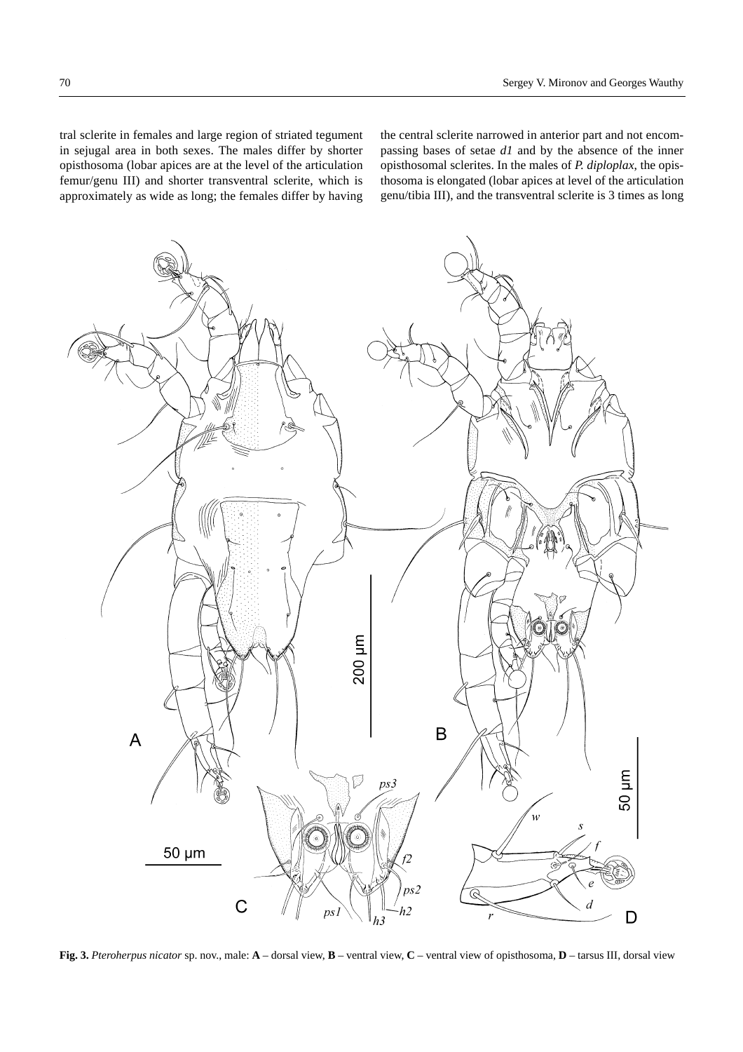tral sclerite in females and large region of striated tegument in sejugal area in both sexes. The males differ by shorter opisthosoma (lobar apices are at the level of the articulation femur/genu III) and shorter transventral sclerite, which is approximately as wide as long; the females differ by having the central sclerite narrowed in anterior part and not encompassing bases of setae *d1* and by the absence of the inner opisthosomal sclerites. In the males of *P. diploplax*, the opisthosoma is elongated (lobar apices at level of the articulation genu/tibia III), and the transventral sclerite is 3 times as long



**Fig. 3.** *Pteroherpus nicator* sp. nov., male: **A** – dorsal view, **B** – ventral view, **C** – ventral view of opisthosoma, **D** – tarsus III, dorsal view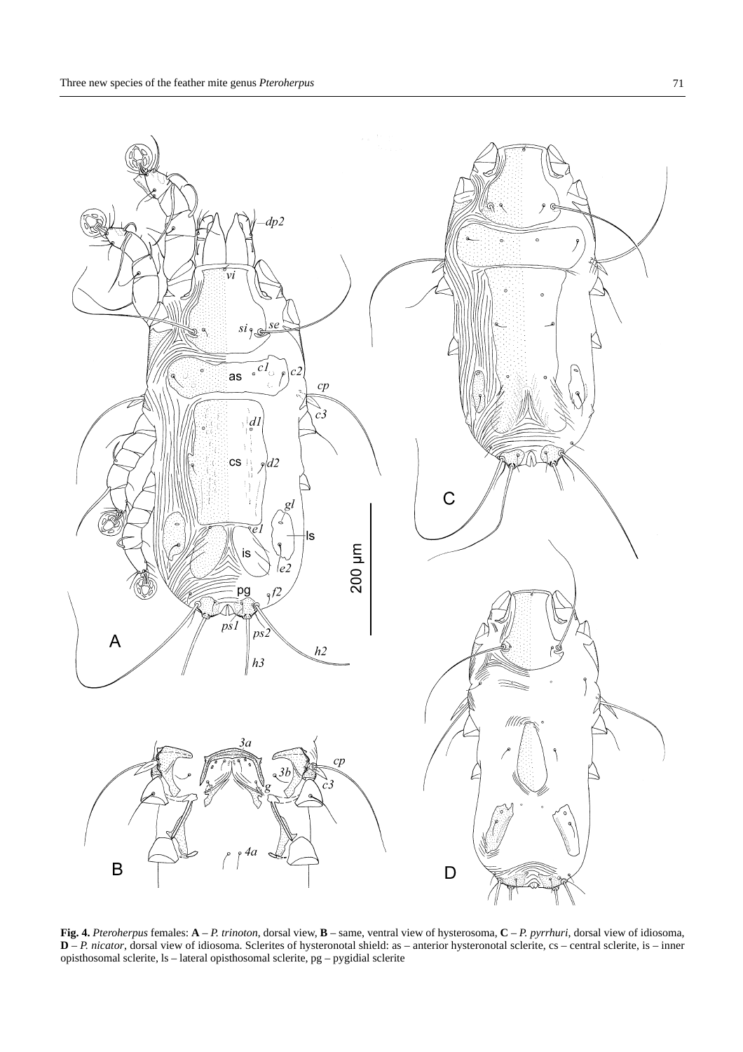

**Fig. 4.** *Pteroherpus* females: **A** – *P. trinoton*, dorsal view, **B** – same, ventral view of hysterosoma, **C** – *P. pyrrhuri*, dorsal view of idiosoma, **D** – *P. nicator*, dorsal view of idiosoma. Sclerites of hysteronotal shield: as – anterior hysteronotal sclerite, cs – central sclerite, is – inner opisthosomal sclerite, ls – lateral opisthosomal sclerite, pg – pygidial sclerite